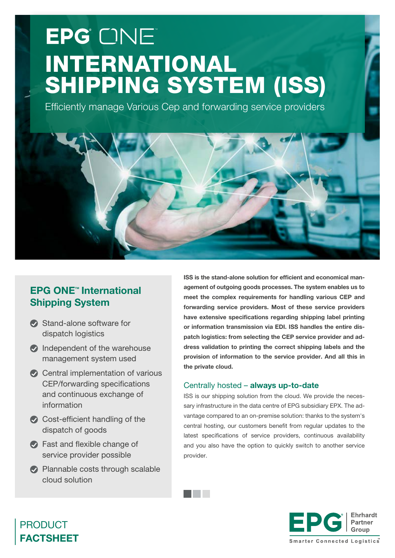# EPG ONE INTERNATIONAL SHIPPING SYSTEM (ISS)

Efficiently manage Various Cep and forwarding service providers



- Stand-alone software for dispatch logistics
- $\bullet$  Independent of the warehouse management system used
- Central implementation of various CEP/forwarding specifications and continuous exchange of information
- Cost-efficient handling of the dispatch of goods
- Fast and flexible change of service provider possible
- **Plannable costs through scalable** cloud solution

ISS is the stand-alone solution for efficient and economical management of outgoing goods processes. The system enables us to meet the complex requirements for handling various CEP and forwarding service providers. Most of these service providers have extensive specifications regarding shipping label printing or information transmission via EDI. ISS handles the entire dispatch logistics: from selecting the CEP service provider and address validation to printing the correct shipping labels and the provision of information to the service provider. And all this in the private cloud.

### Centrally hosted – always up-to-date

a kacamatan ing Kabupatèn Kabupatèn

ISS is our shipping solution from the cloud. We provide the necessary infrastructure in the data centre of EPG subsidiary EPX. The advantage compared to an on-premise solution: thanks to the system's central hosting, our customers benefit from regular updates to the latest specifications of service providers, continuous availability and you also have the option to quickly switch to another service provider.



# PRODUCT FACTSHEET